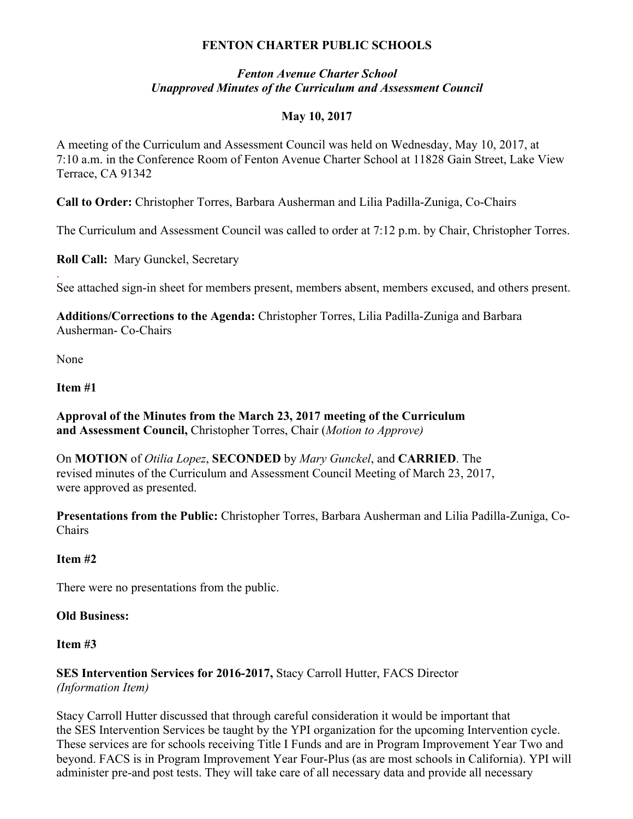# **FENTON CHARTER PUBLIC SCHOOLS**

### *Fenton Avenue Charter School Unapproved Minutes of the Curriculum and Assessment Council*

# **May 10, 2017**

A meeting of the Curriculum and Assessment Council was held on Wednesday, May 10, 2017, at 7:10 a.m. in the Conference Room of Fenton Avenue Charter School at 11828 Gain Street, Lake View Terrace, CA 91342

**Call to Order:** Christopher Torres, Barbara Ausherman and Lilia Padilla-Zuniga, Co-Chairs

The Curriculum and Assessment Council was called to order at 7:12 p.m. by Chair, Christopher Torres.

**Roll Call:** Mary Gunckel, Secretary

. See attached sign-in sheet for members present, members absent, members excused, and others present.

**Additions/Corrections to the Agenda:** Christopher Torres, Lilia Padilla-Zuniga and Barbara Ausherman- Co-Chairs

None

### **Item #1**

**Approval of the Minutes from the March 23, 2017 meeting of the Curriculum and Assessment Council,** Christopher Torres, Chair (*Motion to Approve)*

On **MOTION** of *Otilia Lopez*, **SECONDED** by *Mary Gunckel*, and **CARRIED**. The revised minutes of the Curriculum and Assessment Council Meeting of March 23, 2017, were approved as presented.

**Presentations from the Public:** Christopher Torres, Barbara Ausherman and Lilia Padilla-Zuniga, Co-Chairs

### **Item #2**

There were no presentations from the public.

### **Old Business:**

### **Item #3**

**SES Intervention Services for 2016-2017,** Stacy Carroll Hutter, FACS Director *(Information Item)*

Stacy Carroll Hutter discussed that through careful consideration it would be important that the SES Intervention Services be taught by the YPI organization for the upcoming Intervention cycle. These services are for schools receiving Title I Funds and are in Program Improvement Year Two and beyond. FACS is in Program Improvement Year Four-Plus (as are most schools in California). YPI will administer pre-and post tests. They will take care of all necessary data and provide all necessary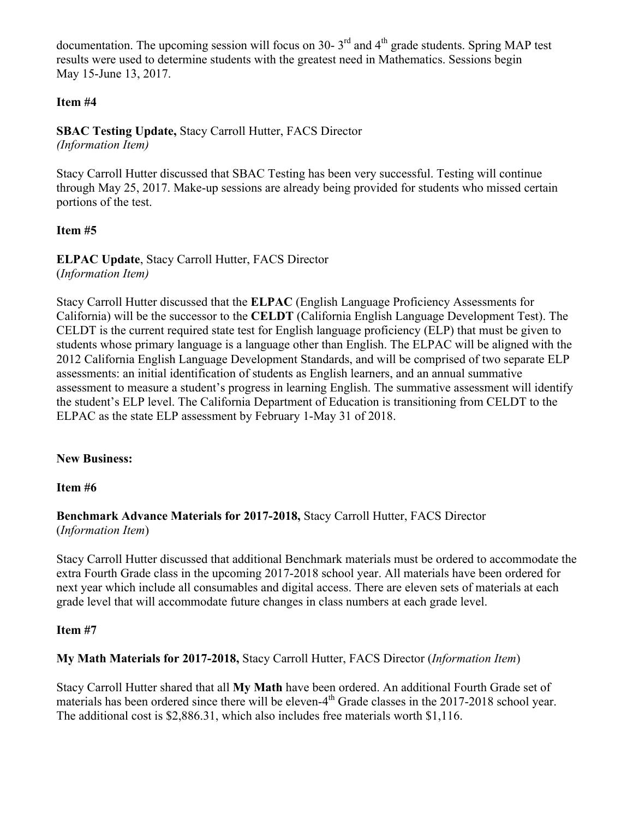documentation. The upcoming session will focus on 30-  $3<sup>rd</sup>$  and  $4<sup>th</sup>$  grade students. Spring MAP test results were used to determine students with the greatest need in Mathematics. Sessions begin May 15-June 13, 2017.

# **Item #4**

**SBAC Testing Update,** Stacy Carroll Hutter, FACS Director *(Information Item)*

Stacy Carroll Hutter discussed that SBAC Testing has been very successful. Testing will continue through May 25, 2017. Make-up sessions are already being provided for students who missed certain portions of the test.

# **Item #5**

**ELPAC Update**, Stacy Carroll Hutter, FACS Director (*Information Item)*

Stacy Carroll Hutter discussed that the **ELPAC** (English Language Proficiency Assessments for California) will be the successor to the **CELDT** (California English Language Development Test). The CELDT is the current required state test for English language proficiency (ELP) that must be given to students whose primary language is a language other than English. The ELPAC will be aligned with the 2012 California English Language Development Standards, and will be comprised of two separate ELP assessments: an initial identification of students as English learners, and an annual summative assessment to measure a student's progress in learning English. The summative assessment will identify the student's ELP level. The California Department of Education is transitioning from CELDT to the ELPAC as the state ELP assessment by February 1-May 31 of 2018.

### **New Business:**

### **Item #6**

### **Benchmark Advance Materials for 2017-2018,** Stacy Carroll Hutter, FACS Director (*Information Item*)

Stacy Carroll Hutter discussed that additional Benchmark materials must be ordered to accommodate the extra Fourth Grade class in the upcoming 2017-2018 school year. All materials have been ordered for next year which include all consumables and digital access. There are eleven sets of materials at each grade level that will accommodate future changes in class numbers at each grade level.

### **Item #7**

# **My Math Materials for 2017-2018,** Stacy Carroll Hutter, FACS Director (*Information Item*)

Stacy Carroll Hutter shared that all **My Math** have been ordered. An additional Fourth Grade set of materials has been ordered since there will be eleven-4<sup>th</sup> Grade classes in the 2017-2018 school year. The additional cost is \$2,886.31, which also includes free materials worth \$1,116.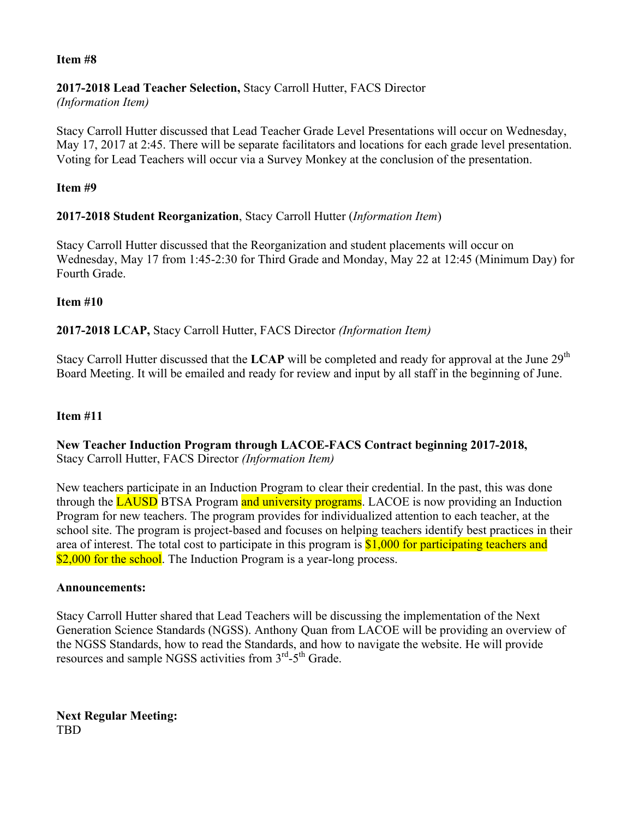### **Item #8**

#### **2017-2018 Lead Teacher Selection,** Stacy Carroll Hutter, FACS Director *(Information Item)*

Stacy Carroll Hutter discussed that Lead Teacher Grade Level Presentations will occur on Wednesday, May 17, 2017 at 2:45. There will be separate facilitators and locations for each grade level presentation. Voting for Lead Teachers will occur via a Survey Monkey at the conclusion of the presentation.

### **Item #9**

# **2017-2018 Student Reorganization**, Stacy Carroll Hutter (*Information Item*)

Stacy Carroll Hutter discussed that the Reorganization and student placements will occur on Wednesday, May 17 from 1:45-2:30 for Third Grade and Monday, May 22 at 12:45 (Minimum Day) for Fourth Grade.

### **Item #10**

### **2017-2018 LCAP,** Stacy Carroll Hutter, FACS Director *(Information Item)*

Stacy Carroll Hutter discussed that the LCAP will be completed and ready for approval at the June 29<sup>th</sup> Board Meeting. It will be emailed and ready for review and input by all staff in the beginning of June.

### **Item #11**

### **New Teacher Induction Program through LACOE-FACS Contract beginning 2017-2018,**  Stacy Carroll Hutter, FACS Director *(Information Item)*

New teachers participate in an Induction Program to clear their credential. In the past, this was done through the **LAUSD** BTSA Program and university programs. LACOE is now providing an Induction Program for new teachers. The program provides for individualized attention to each teacher, at the school site. The program is project-based and focuses on helping teachers identify best practices in their area of interest. The total cost to participate in this program is \$1,000 for participating teachers and \$2,000 for the school. The Induction Program is a year-long process.

#### **Announcements:**

Stacy Carroll Hutter shared that Lead Teachers will be discussing the implementation of the Next Generation Science Standards (NGSS). Anthony Quan from LACOE will be providing an overview of the NGSS Standards, how to read the Standards, and how to navigate the website. He will provide resources and sample NGSS activities from  $3<sup>rd</sup> - 5<sup>th</sup>$  Grade.

**Next Regular Meeting:** TBD